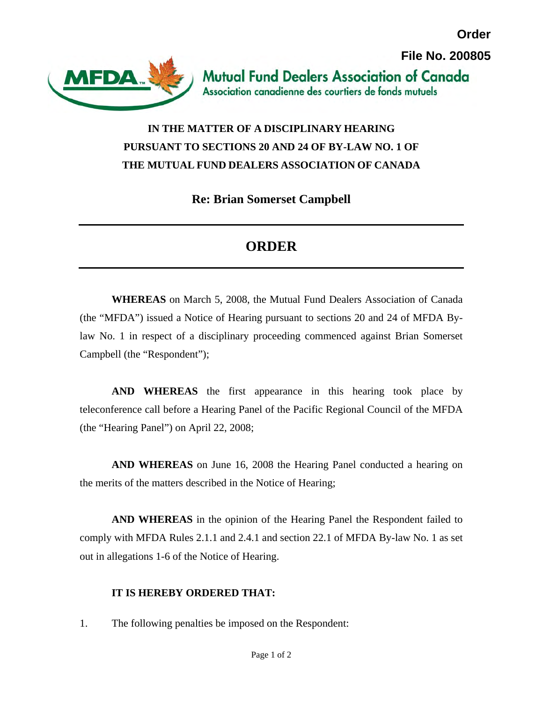

## **IN THE MATTER OF A DISCIPLINARY HEARING PURSUANT TO SECTIONS 20 AND 24 OF BY-LAW NO. 1 OF THE MUTUAL FUND DEALERS ASSOCIATION OF CANADA**

**Re: Brian Somerset Campbell** 

## **ORDER**

**WHEREAS** on March 5, 2008, the Mutual Fund Dealers Association of Canada (the "MFDA") issued a Notice of Hearing pursuant to sections 20 and 24 of MFDA Bylaw No. 1 in respect of a disciplinary proceeding commenced against Brian Somerset Campbell (the "Respondent");

**AND WHEREAS** the first appearance in this hearing took place by teleconference call before a Hearing Panel of the Pacific Regional Council of the MFDA (the "Hearing Panel") on April 22, 2008;

**AND WHEREAS** on June 16, 2008 the Hearing Panel conducted a hearing on the merits of the matters described in the Notice of Hearing;

**AND WHEREAS** in the opinion of the Hearing Panel the Respondent failed to comply with MFDA Rules 2.1.1 and 2.4.1 and section 22.1 of MFDA By-law No. 1 as set out in allegations 1-6 of the Notice of Hearing.

## **IT IS HEREBY ORDERED THAT:**

1. The following penalties be imposed on the Respondent: